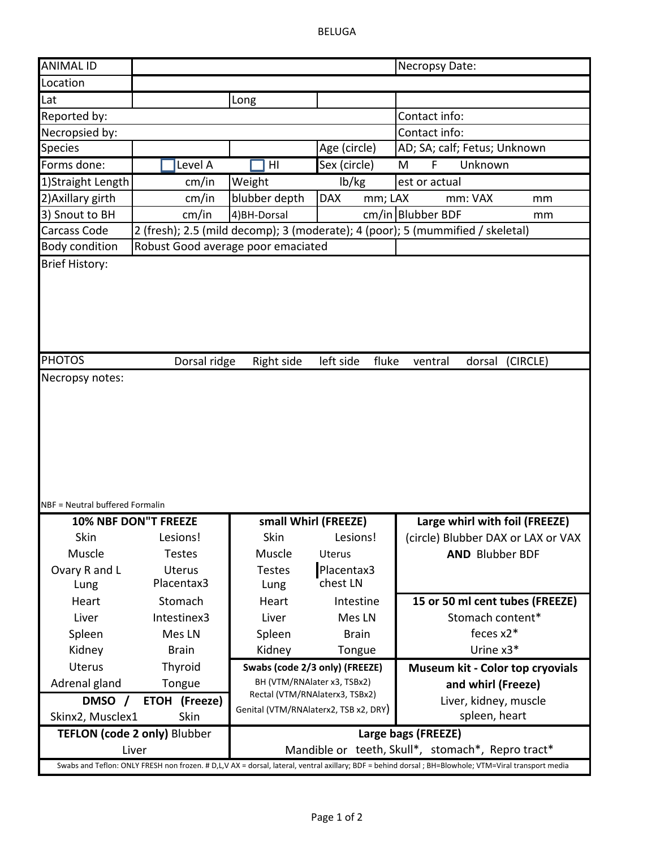BELUGA

| <b>ANIMAL ID</b>                |                                              |                                       |                                  | Necropsy Date:                                                                 |          |
|---------------------------------|----------------------------------------------|---------------------------------------|----------------------------------|--------------------------------------------------------------------------------|----------|
| Location                        |                                              |                                       |                                  |                                                                                |          |
| Lat                             |                                              | Long                                  |                                  |                                                                                |          |
| Reported by:                    |                                              |                                       |                                  | Contact info:                                                                  |          |
| Necropsied by:                  |                                              |                                       |                                  | Contact info:                                                                  |          |
| <b>Species</b>                  |                                              |                                       | Age (circle)                     | AD; SA; calf; Fetus; Unknown                                                   |          |
| Forms done:                     | Level A                                      | HI                                    | Sex (circle)                     | F<br>Unknown<br>M                                                              |          |
| 1) Straight Length              | cm/in                                        | Weight                                | lb/kg                            | est or actual                                                                  |          |
| 2) Axillary girth               | cm/in                                        | blubber depth                         | <b>DAX</b><br>mm; LAX            | mm: VAX                                                                        | mm       |
| 3) Snout to BH                  | cm/in                                        | 4) BH-Dorsal                          |                                  | cm/in Blubber BDF                                                              | mm       |
| <b>Carcass Code</b>             |                                              |                                       |                                  | 2 (fresh); 2.5 (mild decomp); 3 (moderate); 4 (poor); 5 (mummified / skeletal) |          |
| <b>Body condition</b>           | Robust Good average poor emaciated           |                                       |                                  |                                                                                |          |
| <b>PHOTOS</b>                   |                                              |                                       |                                  |                                                                                |          |
|                                 | Dorsal ridge                                 | Right side                            | left side<br>fluke               | dorsal<br>ventral                                                              | (CIRCLE) |
| Necropsy notes:                 |                                              |                                       |                                  |                                                                                |          |
|                                 |                                              |                                       |                                  |                                                                                |          |
| NBF = Neutral buffered Formalin |                                              |                                       |                                  |                                                                                |          |
|                                 | 10% NBF DON"T FREEZE                         | small Whirl (FREEZE)                  |                                  | Large whirl with foil (FREEZE)                                                 |          |
| Skin                            | Lesions!                                     | Skin                                  | Lesions!                         | (circle) Blubber DAX or LAX or VAX                                             |          |
| Muscle<br>Ovary R and L<br>Lung | <b>Testes</b><br><b>Uterus</b><br>Placentax3 | Muscle<br><b>Testes</b><br>Lung       | Uterus<br>Placentax3<br>chest LN | <b>AND Blubber BDF</b>                                                         |          |
| Heart                           | Stomach                                      | Heart                                 | Intestine                        | 15 or 50 ml cent tubes (FREEZE)                                                |          |
| Liver                           | Intestinex3                                  | Liver                                 | Mes LN                           | Stomach content*                                                               |          |
| Spleen                          | Mes LN                                       | Spleen                                | <b>Brain</b>                     | feces $x2^*$                                                                   |          |
| Kidney                          | <b>Brain</b>                                 | Kidney                                | Tongue                           | Urine x3*                                                                      |          |
| Uterus                          | Thyroid                                      | Swabs (code 2/3 only) (FREEZE)        |                                  | Museum kit - Color top cryovials                                               |          |
| Adrenal gland                   | Tongue                                       | BH (VTM/RNAlater x3, TSBx2)           |                                  | and whirl (Freeze)                                                             |          |
| DMSO /                          | ETOH (Freeze)                                | Rectal (VTM/RNAlaterx3, TSBx2)        |                                  | Liver, kidney, muscle                                                          |          |
| Skinx2, Musclex1                | Skin                                         | Genital (VTM/RNAlaterx2, TSB x2, DRY) |                                  | spleen, heart                                                                  |          |
|                                 | <b>TEFLON (code 2 only) Blubber</b>          |                                       |                                  | Large bags (FREEZE)                                                            |          |
|                                 | Liver                                        |                                       |                                  | Mandible or teeth, Skull*, stomach*, Repro tract*                              |          |